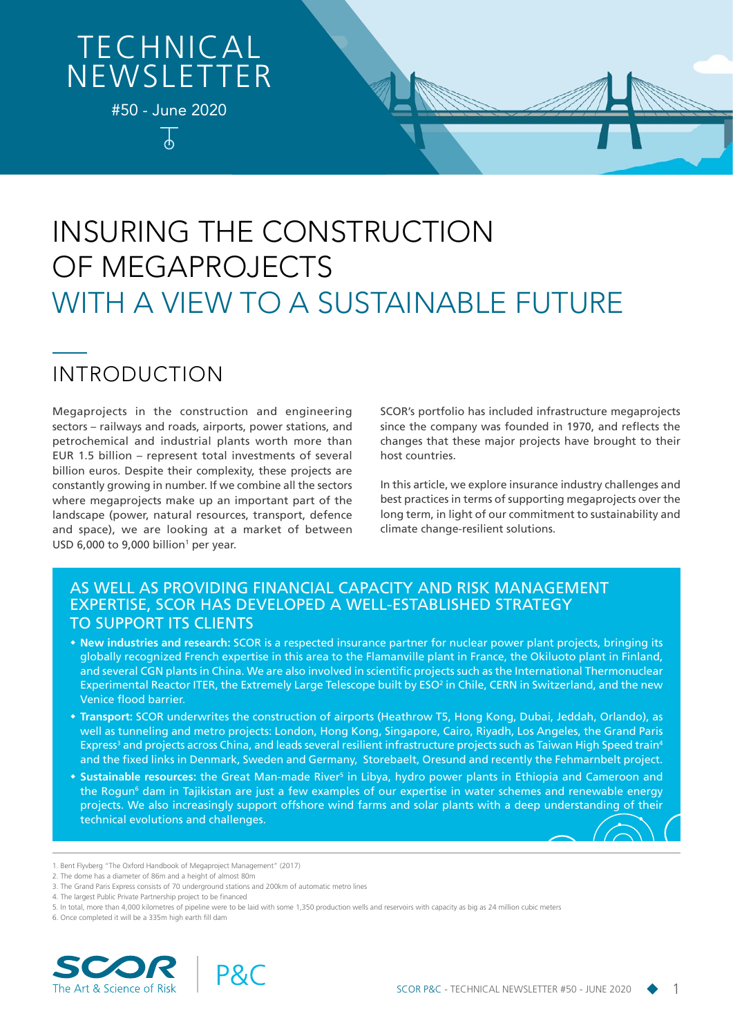# **TECHNICAL NEWSLETTER**

#50 - June 2020

ሐ

# INSURING THE CONSTRUCTION OF MEGAPROJECTS WITH A VIEW TO A SUSTAINABLE FUTURE

# INTRODUCTION

Megaprojects in the construction and engineering sectors – railways and roads, airports, power stations, and petrochemical and industrial plants worth more than EUR 1.5 billion – represent total investments of several billion euros. Despite their complexity, these projects are constantly growing in number. If we combine all the sectors where megaprojects make up an important part of the landscape (power, natural resources, transport, defence and space), we are looking at a market of between USD 6,000 to 9,000 billion<sup>1</sup> per year.

SCOR's portfolio has included infrastructure megaprojects since the company was founded in 1970, and reflects the changes that these major projects have brought to their host countries.

In this article, we explore insurance industry challenges and best practices in terms of supporting megaprojects over the long term, in light of our commitment to sustainability and climate change-resilient solutions.

### AS WELL AS PROVIDING FINANCIAL CAPACITY AND RISK MANAGEMENT EXPERTISE, SCOR HAS DEVELOPED A WELL-ESTABLISHED STRATEGY TO SUPPORT ITS CLIENTS

- **New industries and research:** SCOR is a respected insurance partner for nuclear power plant projects, bringing its globally recognized French expertise in this area to the Flamanville plant in France, the Okiluoto plant in Finland, and several CGN plants in China. We are also involved in scientific projects such as the International Thermonuclear Experimental Reactor ITER, the Extremely Large Telescope built by ESO<sup>2</sup> in Chile, CERN in Switzerland, and the new Venice flood barrier.
- **Transport:** SCOR underwrites the construction of airports (Heathrow T5, Hong Kong, Dubai, Jeddah, Orlando), as well as tunneling and metro projects: London, Hong Kong, Singapore, Cairo, Riyadh, Los Angeles, the Grand Paris Express<sup>3</sup> and projects across China, and leads several resilient infrastructure projects such as Taiwan High Speed train<sup>4</sup> and the fixed links in Denmark, Sweden and Germany, Storebaelt, Oresund and recently the Fehmarnbelt project.
- the Rogun<sup>6</sup> dam in Tajikistan are just a few examples of our expertise in water schemes and renewable energy<br>projects. We also increasingly support offshore wind farms and solar plants with a deep understanding of their projects. We also increasingly support offshore wind farms and solar plants with a deep understanding of their<br>technical qualities and shallanges **• Sustainable resources:** the Great Man-made River<sup>s</sup> in Libya, hydro power plants in Ethiopia and Cameroon and technical evolutions and challenges.

6. Once completed it will be a 335m high earth fill dam



<sup>1.</sup> Bent Flyvberg "The Oxford Handbook of Megaproject Management" (2017)

<sup>2.</sup> The dome has a diameter of 86m and a height of almost 80m

<sup>3.</sup> The Grand Paris Express consists of 70 underground stations and 200km of automatic metro lines

<sup>4.</sup> The largest Public Private Partnership project to be financed

<sup>5.</sup> In total, more than 4,000 kilometres of pipeline were to be laid with some 1,350 production wells and reservoirs with capacity as big as 24 million cubic meters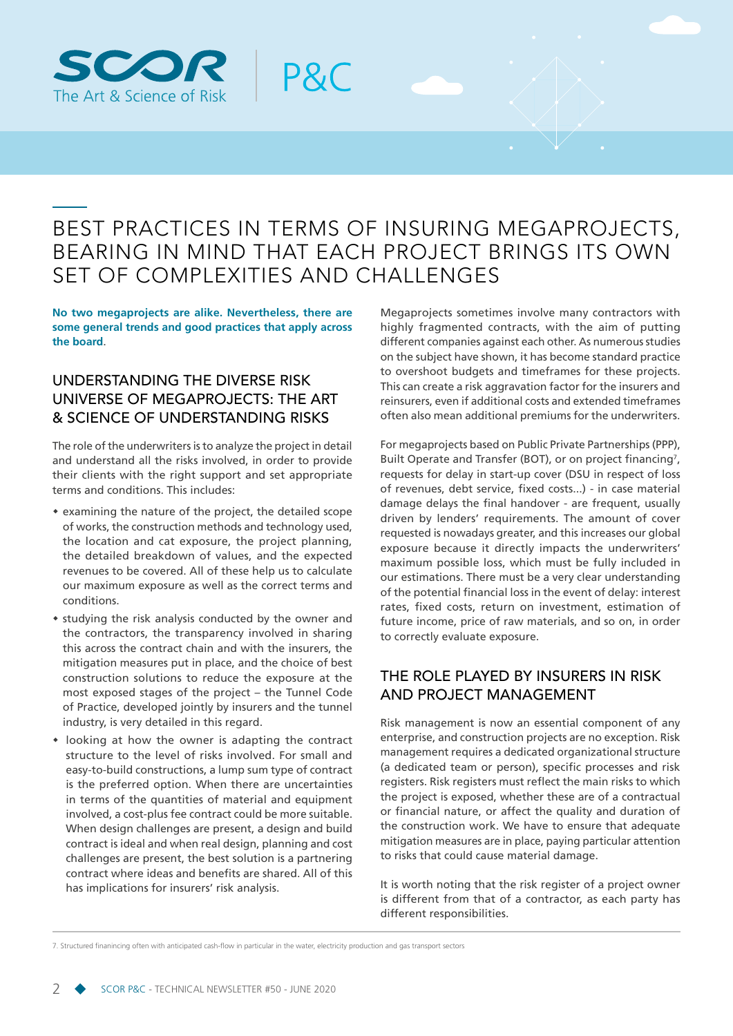

### BEST PRACTICES IN TERMS OF INSURING MEGAPROJECTS, BEARING IN MIND THAT EACH PROJECT BRINGS ITS OWN SET OF COMPLEXITIES AND CHALLENGES

P&C

**No two megaprojects are alike. Nevertheless, there are some general trends and good practices that apply across the board**.

### UNDERSTANDING THE DIVERSE RISK UNIVERSE OF MEGAPROJECTS: THE ART & SCIENCE OF UNDERSTANDING RISKS

The role of the underwriters is to analyze the project in detail and understand all the risks involved, in order to provide their clients with the right support and set appropriate terms and conditions. This includes:

- examining the nature of the project, the detailed scope of works, the construction methods and technology used, the location and cat exposure, the project planning, the detailed breakdown of values, and the expected revenues to be covered. All of these help us to calculate our maximum exposure as well as the correct terms and conditions.
- \* studying the risk analysis conducted by the owner and the contractors, the transparency involved in sharing this across the contract chain and with the insurers, the mitigation measures put in place, and the choice of best construction solutions to reduce the exposure at the most exposed stages of the project – the Tunnel Code of Practice, developed jointly by insurers and the tunnel industry, is very detailed in this regard.
- looking at how the owner is adapting the contract structure to the level of risks involved. For small and easy-to-build constructions, a lump sum type of contract is the preferred option. When there are uncertainties in terms of the quantities of material and equipment involved, a cost-plus fee contract could be more suitable. When design challenges are present, a design and build contract is ideal and when real design, planning and cost challenges are present, the best solution is a partnering contract where ideas and benefits are shared. All of this has implications for insurers' risk analysis.

Megaprojects sometimes involve many contractors with highly fragmented contracts, with the aim of putting different companies against each other. As numerous studies on the subject have shown, it has become standard practice to overshoot budgets and timeframes for these projects. This can create a risk aggravation factor for the insurers and reinsurers, even if additional costs and extended timeframes often also mean additional premiums for the underwriters.

For megaprojects based on Public Private Partnerships (PPP), Built Operate and Transfer (BOT), or on project financing<sup>7</sup>, requests for delay in start-up cover (DSU in respect of loss of revenues, debt service, fixed costs...) - in case material damage delays the final handover - are frequent, usually driven by lenders' requirements. The amount of cover requested is nowadays greater, and this increases our global exposure because it directly impacts the underwriters' maximum possible loss, which must be fully included in our estimations. There must be a very clear understanding of the potential financial loss in the event of delay: interest rates, fixed costs, return on investment, estimation of future income, price of raw materials, and so on, in order to correctly evaluate exposure.

### THE ROLE PLAYED BY INSURERS IN RISK AND PROJECT MANAGEMENT

Risk management is now an essential component of any enterprise, and construction projects are no exception. Risk management requires a dedicated organizational structure (a dedicated team or person), specific processes and risk registers. Risk registers must reflect the main risks to which the project is exposed, whether these are of a contractual or financial nature, or affect the quality and duration of the construction work. We have to ensure that adequate mitigation measures are in place, paying particular attention to risks that could cause material damage.

It is worth noting that the risk register of a project owner is different from that of a contractor, as each party has different responsibilities.

7. Structured finanincing often with anticipated cash-flow in particular in the water, electricity production and gas transport sectors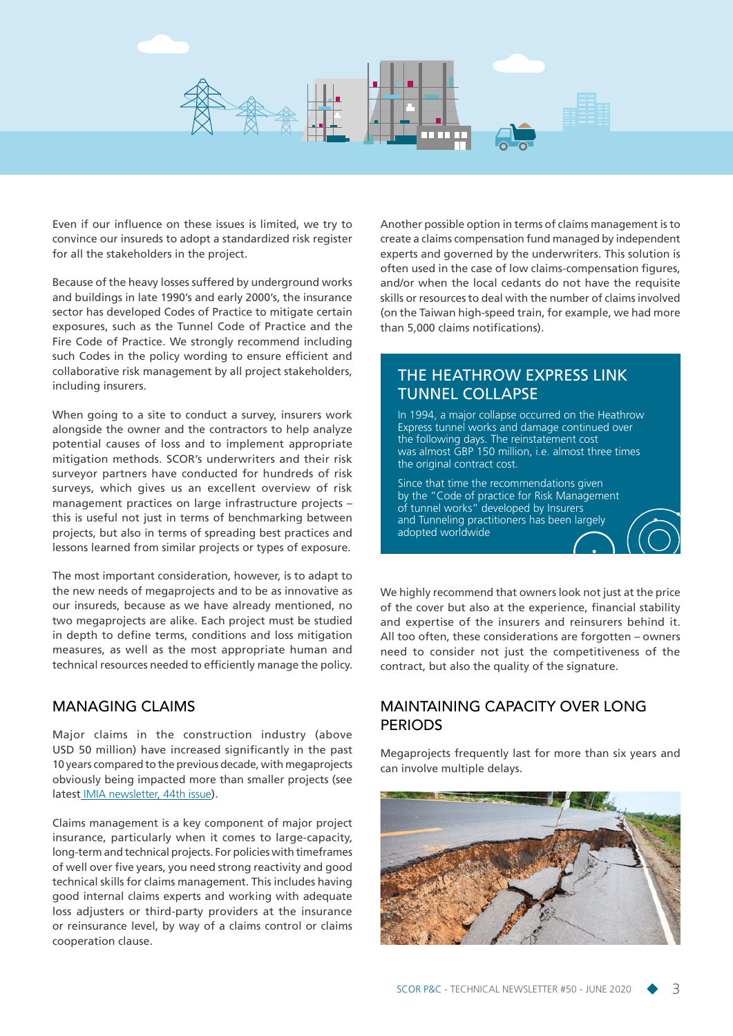

Even if our influence on these issues is limited, we try to convince our insureds to adopt a standardized risk register for all the stakeholders in the project.

Because of the heavy losses suffered by underground works and buildings in late 1990's and early 2000's, the insurance sector has developed Codes of Practice to mitigate certain exposures, such as the Tunnel Code of Practice and the Fire Code of Practice. We strongly recommend including such Codes in the policy wording to ensure efficient and collaborative risk management by all project stakeholders, including insurers.

When going to a site to conduct a survey, insurers work alongside the owner and the contractors to help analyze potential causes of loss and to implement appropriate mitigation methods. SCOR's underwriters and their risk surveyor partners have conducted for hundreds of risk surveys, which gives us an excellent overview of risk management practices on large infrastructure projects – this is useful not just in terms of benchmarking between projects, but also in terms of spreading best practices and lessons learned from similar projects or types of exposure.

The most important consideration, however, is to adapt to the new needs of megaprojects and to be as innovative as our insureds, because as we have already mentioned, no two megaprojects are alike. Each project must be studied in depth to define terms, conditions and loss mitigation measures, as well as the most appropriate human and technical resources needed to efficiently manage the policy.

#### MANAGING CLAIMS

Major claims in the construction industry (above USD 50 million) have increased significantly in the past 10 years compared to the previous decade, with megaprojects obviously being impacted more than smaller projects (see latest [IMIA newsletter, 44th issue](https://www.imia.com/wp-content/uploads/2020/04/IMIA-News-Sheet-44th-April-2020.pdf)).

Claims management is a key component of major project insurance, particularly when it comes to large-capacity, long-term and technical projects. For policies with timeframes of well over five years, you need strong reactivity and good technical skills for claims management. This includes having good internal claims experts and working with adequate loss adjusters or third-party providers at the insurance or reinsurance level, by way of a claims control or claims cooperation clause.

Another possible option in terms of claims management is to create a claims compensation fund managed by independent experts and governed by the underwriters. This solution is often used in the case of low claims-compensation figures, and/or when the local cedants do not have the requisite skills or resources to deal with the number of claims involved (on the Taiwan high-speed train, for example, we had more than 5,000 claims notifications).

### THE HEATHROW EXPRESS LINK TUNNEL COLLAPSE

In 1994, a major collapse occurred on the Heathrow Express tunnel works and damage continued over the following days. The reinstatement cost was almost GBP 150 million, i.e. almost three times the original contract cost.

Since that time the recommendations given by the "Code of practice for Risk Management of tunnel works" developed by Insurers and Tunneling practitioners has been largely adopted worldwide

We highly recommend that owners look not just at the price of the cover but also at the experience, financial stability and expertise of the insurers and reinsurers behind it. All too often, these considerations are forgotten – owners need to consider not just the competitiveness of the contract, but also the quality of the signature.

### MAINTAINING CAPACITY OVER LONG **PERIODS**

Megaprojects frequently last for more than six years and can involve multiple delays.

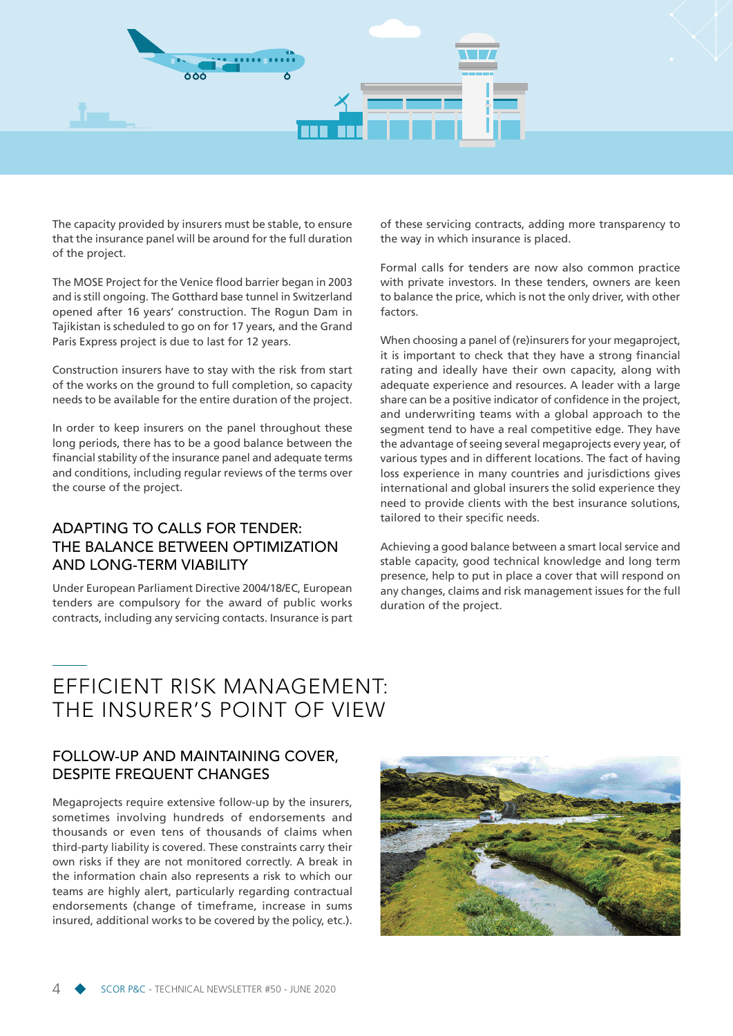

The capacity provided by insurers must be stable, to ensure that the insurance panel will be around for the full duration of the project.

The MOSE Project for the Venice flood barrier began in 2003 and is still ongoing. The Gotthard base tunnel in Switzerland opened after 16 years' construction. The Rogun Dam in Tajikistan is scheduled to go on for 17 years, and the Grand Paris Express project is due to last for 12 years.

Construction insurers have to stay with the risk from start of the works on the ground to full completion, so capacity needs to be available for the entire duration of the project.

In order to keep insurers on the panel throughout these long periods, there has to be a good balance between the financial stability of the insurance panel and adequate terms and conditions, including regular reviews of the terms over the course of the project.

### ADAPTING TO CALLS FOR TENDER: THE BALANCE BETWEEN OPTIMIZATION AND LONG-TERM VIABILITY

Under European Parliament Directive 2004/18/EC, European tenders are compulsory for the award of public works contracts, including any servicing contacts. Insurance is part

of these servicing contracts, adding more transparency to the way in which insurance is placed.

Formal calls for tenders are now also common practice with private investors. In these tenders, owners are keen to balance the price, which is not the only driver, with other factors.

When choosing a panel of (re)insurers for your megaproject, it is important to check that they have a strong financial rating and ideally have their own capacity, along with adequate experience and resources. A leader with a large share can be a positive indicator of confidence in the project, and underwriting teams with a global approach to the segment tend to have a real competitive edge. They have the advantage of seeing several megaprojects every year, of various types and in different locations. The fact of having loss experience in many countries and jurisdictions gives international and global insurers the solid experience they need to provide clients with the best insurance solutions, tailored to their specific needs.

Achieving a good balance between a smart local service and stable capacity, good technical knowledge and long term presence, help to put in place a cover that will respond on any changes, claims and risk management issues for the full duration of the project.

## EFFICIENT RISK MANAGEMENT: THE INSURER'S POINT OF VIEW

### FOLLOW-UP AND MAINTAINING COVER, DESPITE FREQUENT CHANGES

Megaprojects require extensive follow-up by the insurers, sometimes involving hundreds of endorsements and thousands or even tens of thousands of claims when third-party liability is covered. These constraints carry their own risks if they are not monitored correctly. A break in the information chain also represents a risk to which our teams are highly alert, particularly regarding contractual endorsements (change of timeframe, increase in sums insured, additional works to be covered by the policy, etc.).

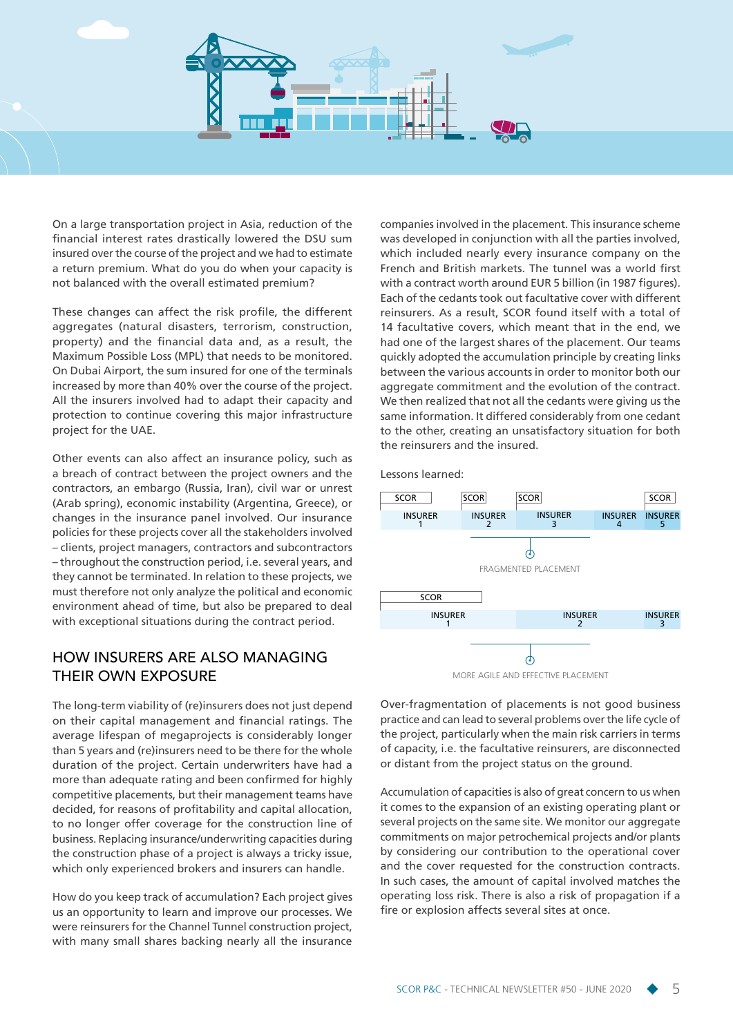

On a large transportation project in Asia, reduction of the financial interest rates drastically lowered the DSU sum insured over the course of the project and we had to estimate a return premium. What do you do when your capacity is not balanced with the overall estimated premium?

These changes can affect the risk profile, the different aggregates (natural disasters, terrorism, construction, property) and the financial data and, as a result, the Maximum Possible Loss (MPL) that needs to be monitored. On Dubai Airport, the sum insured for one of the terminals increased by more than 40% over the course of the project. All the insurers involved had to adapt their capacity and protection to continue covering this major infrastructure project for the UAE.

Other events can also affect an insurance policy, such as a breach of contract between the project owners and the contractors, an embargo (Russia, Iran), civil war or unrest (Arab spring), economic instability (Argentina, Greece), or changes in the insurance panel involved. Our insurance policies for these projects cover all the stakeholders involved – clients, project managers, contractors and subcontractors – throughout the construction period, i.e. several years, and they cannot be terminated. In relation to these projects, we must therefore not only analyze the political and economic environment ahead of time, but also be prepared to deal with exceptional situations during the contract period.

#### HOW INSURERS ARE ALSO MANAGING THEIR OWN EXPOSURE

The long-term viability of (re)insurers does not just depend on their capital management and financial ratings. The average lifespan of megaprojects is considerably longer than 5 years and (re)insurers need to be there for the whole duration of the project. Certain underwriters have had a more than adequate rating and been confirmed for highly competitive placements, but their management teams have decided, for reasons of profitability and capital allocation, to no longer offer coverage for the construction line of business. Replacing insurance/underwriting capacities during the construction phase of a project is always a tricky issue, which only experienced brokers and insurers can handle.

How do you keep track of accumulation? Each project gives us an opportunity to learn and improve our processes. We were reinsurers for the Channel Tunnel construction project, with many small shares backing nearly all the insurance

companies involved in the placement. This insurance scheme was developed in conjunction with all the parties involved, which included nearly every insurance company on the French and British markets. The tunnel was a world first with a contract worth around EUR 5 billion (in 1987 figures). Each of the cedants took out facultative cover with different reinsurers. As a result, SCOR found itself with a total of 14 facultative covers, which meant that in the end, we had one of the largest shares of the placement. Our teams quickly adopted the accumulation principle by creating links between the various accounts in order to monitor both our aggregate commitment and the evolution of the contract. We then realized that not all the cedants were giving us the same information. It differed considerably from one cedant to the other, creating an unsatisfactory situation for both the reinsurers and the insured.

Lessons learned:



MORE AGILE AND EFFECTIVE PLACEMENT

Over-fragmentation of placements is not good business practice and can lead to several problems over the life cycle of the project, particularly when the main risk carriers in terms of capacity, i.e. the facultative reinsurers, are disconnected or distant from the project status on the ground.

Accumulation of capacities is also of great concern to us when it comes to the expansion of an existing operating plant or several projects on the same site. We monitor our aggregate commitments on major petrochemical projects and/or plants by considering our contribution to the operational cover and the cover requested for the construction contracts. In such cases, the amount of capital involved matches the operating loss risk. There is also a risk of propagation if a fire or explosion affects several sites at once.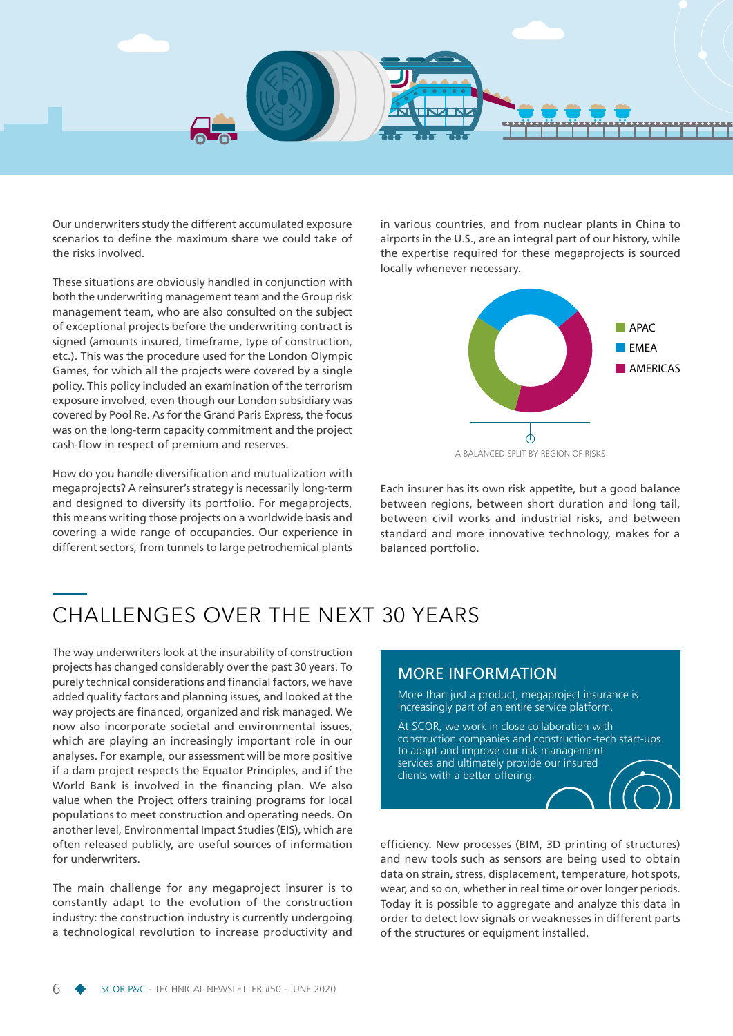

Our underwriters study the different accumulated exposure scenarios to define the maximum share we could take of the risks involved.

These situations are obviously handled in conjunction with both the underwriting management team and the Group risk management team, who are also consulted on the subject of exceptional projects before the underwriting contract is signed (amounts insured, timeframe, type of construction, etc.). This was the procedure used for the London Olympic Games, for which all the projects were covered by a single policy. This policy included an examination of the terrorism exposure involved, even though our London subsidiary was covered by Pool Re. As for the Grand Paris Express, the focus was on the long-term capacity commitment and the project cash-flow in respect of premium and reserves.

How do you handle diversification and mutualization with megaprojects? A reinsurer's strategy is necessarily long-term and designed to diversify its portfolio. For megaprojects, this means writing those projects on a worldwide basis and covering a wide range of occupancies. Our experience in different sectors, from tunnels to large petrochemical plants in various countries, and from nuclear plants in China to airports in the U.S., are an integral part of our history, while the expertise required for these megaprojects is sourced locally whenever necessary.



Each insurer has its own risk appetite, but a good balance between regions, between short duration and long tail, between civil works and industrial risks, and between standard and more innovative technology, makes for a balanced portfolio.

# CHALLENGES OVER THE NEXT 30 YEARS

The way underwriters look at the insurability of construction projects has changed considerably over the past 30 years. To purely technical considerations and financial factors, we have added quality factors and planning issues, and looked at the way projects are financed, organized and risk managed. We now also incorporate societal and environmental issues, which are playing an increasingly important role in our analyses. For example, our assessment will be more positive if a dam project respects the Equator Principles, and if the World Bank is involved in the financing plan. We also value when the Project offers training programs for local populations to meet construction and operating needs. On another level, Environmental Impact Studies (EIS), which are often released publicly, are useful sources of information for underwriters.

The main challenge for any megaproject insurer is to constantly adapt to the evolution of the construction industry: the construction industry is currently undergoing a technological revolution to increase productivity and

#### MORE INFORMATION

More than just a product, megaproject insurance is increasingly part of an entire service platform.

At SCOR, we work in close collaboration with construction companies and construction-tech start-ups to adapt and improve our risk management services and ultimately provide our insured clients with a better offering.

efficiency. New processes (BIM, 3D printing of structures) and new tools such as sensors are being used to obtain data on strain, stress, displacement, temperature, hot spots, wear, and so on, whether in real time or over longer periods. Today it is possible to aggregate and analyze this data in order to detect low signals or weaknesses in different parts of the structures or equipment installed.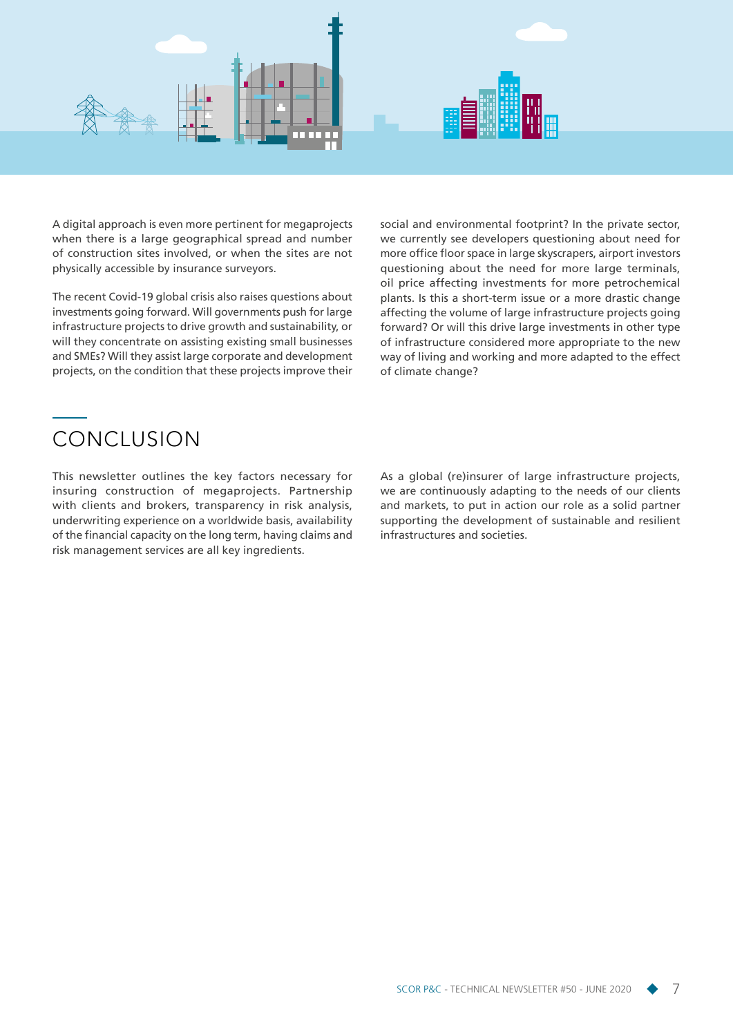

A digital approach is even more pertinent for megaprojects when there is a large geographical spread and number of construction sites involved, or when the sites are not physically accessible by insurance surveyors.

The recent Covid-19 global crisis also raises questions about investments going forward. Will governments push for large infrastructure projects to drive growth and sustainability, or will they concentrate on assisting existing small businesses and SMEs? Will they assist large corporate and development projects, on the condition that these projects improve their social and environmental footprint? In the private sector, we currently see developers questioning about need for more office floor space in large skyscrapers, airport investors questioning about the need for more large terminals, oil price affecting investments for more petrochemical plants. Is this a short-term issue or a more drastic change affecting the volume of large infrastructure projects going forward? Or will this drive large investments in other type of infrastructure considered more appropriate to the new way of living and working and more adapted to the effect of climate change?

# CONCLUSION

This newsletter outlines the key factors necessary for insuring construction of megaprojects. Partnership with clients and brokers, transparency in risk analysis, underwriting experience on a worldwide basis, availability of the financial capacity on the long term, having claims and risk management services are all key ingredients.

As a global (re)insurer of large infrastructure projects, we are continuously adapting to the needs of our clients and markets, to put in action our role as a solid partner supporting the development of sustainable and resilient infrastructures and societies.